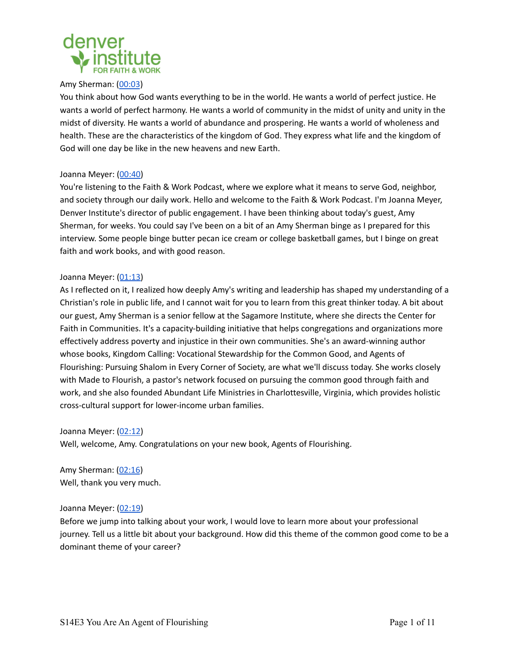

#### Amy Sherman: [\(00:03](https://www.rev.com/transcript-editor/Edit?token=GIjTQ1HbKSrwuprYah7iErOkzLFCKBg7OgAzk3EUX_rO8UWJ3lkxeG_2W23txindY6v0vAL8tQJw9RfcVUfNlFfSjek&loadFrom=PastedDeeplink&ts=3.35))

You think about how God wants everything to be in the world. He wants a world of perfect justice. He wants a world of perfect harmony. He wants a world of community in the midst of unity and unity in the midst of diversity. He wants a world of abundance and prospering. He wants a world of wholeness and health. These are the characteristics of the kingdom of God. They express what life and the kingdom of God will one day be like in the new heavens and new Earth.

## Joanna Meyer: ([00:40\)](https://www.rev.com/transcript-editor/Edit?token=GIjTQ1HbKSrwuprYah7iErOkzLFCKBg7OgAzk3EUX_rO8UWJ3lkxeG_2W23txindY6v0vAL8tQJw9RfcVUfNlFfSjek&loadFrom=PastedDeeplink&ts=40.7)

You're listening to the Faith & Work Podcast, where we explore what it means to serve God, neighbor, and society through our daily work. Hello and welcome to the Faith & Work Podcast. I'm Joanna Meyer, Denver Institute's director of public engagement. I have been thinking about today's guest, Amy Sherman, for weeks. You could say I've been on a bit of an Amy Sherman binge as I prepared for this interview. Some people binge butter pecan ice cream or college basketball games, but I binge on great faith and work books, and with good reason.

## Joanna Meyer: ([01:13\)](https://www.rev.com/transcript-editor/Edit?token=GIjTQ1HbKSrwuprYah7iErOkzLFCKBg7OgAzk3EUX_rO8UWJ3lkxeG_2W23txindY6v0vAL8tQJw9RfcVUfNlFfSjek&loadFrom=PastedDeeplink&ts=73.63)

As I reflected on it, I realized how deeply Amy's writing and leadership has shaped my understanding of a Christian's role in public life, and I cannot wait for you to learn from this great thinker today. A bit about our guest, Amy Sherman is a senior fellow at the Sagamore Institute, where she directs the Center for Faith in Communities. It's a capacity-building initiative that helps congregations and organizations more effectively address poverty and injustice in their own communities. She's an award-winning author whose books, Kingdom Calling: Vocational Stewardship for the Common Good, and Agents of Flourishing: Pursuing Shalom in Every Corner of Society, are what we'll discuss today. She works closely with Made to Flourish, a pastor's network focused on pursuing the common good through faith and work, and she also founded Abundant Life Ministries in Charlottesville, Virginia, which provides holistic cross-cultural support for lower-income urban families.

#### Joanna Meyer: ([02:12\)](https://www.rev.com/transcript-editor/Edit?token=GIjTQ1HbKSrwuprYah7iErOkzLFCKBg7OgAzk3EUX_rO8UWJ3lkxeG_2W23txindY6v0vAL8tQJw9RfcVUfNlFfSjek&loadFrom=PastedDeeplink&ts=132.29)

Well, welcome, Amy. Congratulations on your new book, Agents of Flourishing.

Amy Sherman: [\(02:16](https://www.rev.com/transcript-editor/Edit?token=GIjTQ1HbKSrwuprYah7iErOkzLFCKBg7OgAzk3EUX_rO8UWJ3lkxeG_2W23txindY6v0vAL8tQJw9RfcVUfNlFfSjek&loadFrom=PastedDeeplink&ts=136.27)) Well, thank you very much.

# Joanna Meyer: ([02:19\)](https://www.rev.com/transcript-editor/Edit?token=GIjTQ1HbKSrwuprYah7iErOkzLFCKBg7OgAzk3EUX_rO8UWJ3lkxeG_2W23txindY6v0vAL8tQJw9RfcVUfNlFfSjek&loadFrom=PastedDeeplink&ts=139.67)

Before we jump into talking about your work, I would love to learn more about your professional journey. Tell us a little bit about your background. How did this theme of the common good come to be a dominant theme of your career?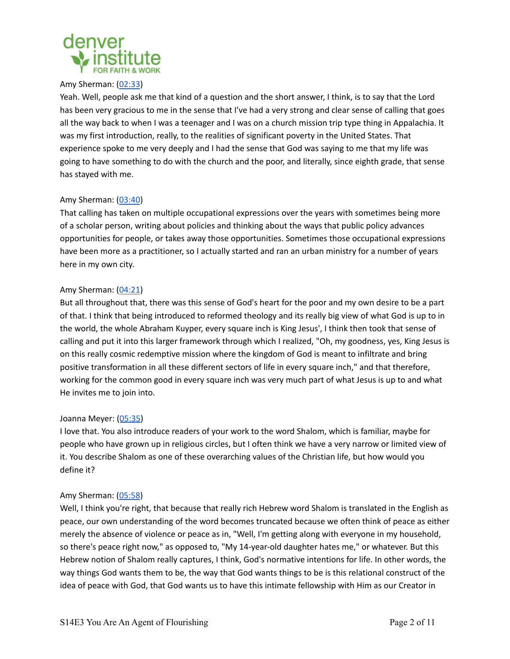

#### Amy Sherman: [\(02:33](https://www.rev.com/transcript-editor/Edit?token=GIjTQ1HbKSrwuprYah7iErOkzLFCKBg7OgAzk3EUX_rO8UWJ3lkxeG_2W23txindY6v0vAL8tQJw9RfcVUfNlFfSjek&loadFrom=PastedDeeplink&ts=153.21))

Yeah. Well, people ask me that kind of a question and the short answer, I think, is to say that the Lord has been very gracious to me in the sense that I've had a very strong and clear sense of calling that goes all the way back to when I was a teenager and I was on a church mission trip type thing in Appalachia. It was my first introduction, really, to the realities of significant poverty in the United States. That experience spoke to me very deeply and I had the sense that God was saying to me that my life was going to have something to do with the church and the poor, and literally, since eighth grade, that sense has stayed with me.

# Amy Sherman: [\(03:40](https://www.rev.com/transcript-editor/Edit?token=GIjTQ1HbKSrwuprYah7iErOkzLFCKBg7OgAzk3EUX_rO8UWJ3lkxeG_2W23txindY6v0vAL8tQJw9RfcVUfNlFfSjek&loadFrom=PastedDeeplink&ts=220.65))

That calling has taken on multiple occupational expressions over the years with sometimes being more of a scholar person, writing about policies and thinking about the ways that public policy advances opportunities for people, or takes away those opportunities. Sometimes those occupational expressions have been more as a practitioner, so I actually started and ran an urban ministry for a number of years here in my own city.

## Amy Sherman: [\(04:21](https://www.rev.com/transcript-editor/Edit?token=GIjTQ1HbKSrwuprYah7iErOkzLFCKBg7OgAzk3EUX_rO8UWJ3lkxeG_2W23txindY6v0vAL8tQJw9RfcVUfNlFfSjek&loadFrom=PastedDeeplink&ts=261.69))

But all throughout that, there was this sense of God's heart for the poor and my own desire to be a part of that. I think that being introduced to reformed theology and its really big view of what God is up to in the world, the whole Abraham Kuyper, every square inch is King Jesus', I think then took that sense of calling and put it into this larger framework through which I realized, "Oh, my goodness, yes, King Jesus is on this really cosmic redemptive mission where the kingdom of God is meant to infiltrate and bring positive transformation in all these different sectors of life in every square inch," and that therefore, working for the common good in every square inch was very much part of what Jesus is up to and what He invites me to join into.

# Joanna Meyer: ([05:35\)](https://www.rev.com/transcript-editor/Edit?token=GIjTQ1HbKSrwuprYah7iErOkzLFCKBg7OgAzk3EUX_rO8UWJ3lkxeG_2W23txindY6v0vAL8tQJw9RfcVUfNlFfSjek&loadFrom=PastedDeeplink&ts=335.95)

I love that. You also introduce readers of your work to the word Shalom, which is familiar, maybe for people who have grown up in religious circles, but I often think we have a very narrow or limited view of it. You describe Shalom as one of these overarching values of the Christian life, but how would you define it?

#### Amy Sherman: [\(05:58](https://www.rev.com/transcript-editor/Edit?token=GIjTQ1HbKSrwuprYah7iErOkzLFCKBg7OgAzk3EUX_rO8UWJ3lkxeG_2W23txindY6v0vAL8tQJw9RfcVUfNlFfSjek&loadFrom=PastedDeeplink&ts=358))

Well, I think you're right, that because that really rich Hebrew word Shalom is translated in the English as peace, our own understanding of the word becomes truncated because we often think of peace as either merely the absence of violence or peace as in, "Well, I'm getting along with everyone in my household, so there's peace right now," as opposed to, "My 14-year-old daughter hates me," or whatever. But this Hebrew notion of Shalom really captures, I think, God's normative intentions for life. In other words, the way things God wants them to be, the way that God wants things to be is this relational construct of the idea of peace with God, that God wants us to have this intimate fellowship with Him as our Creator in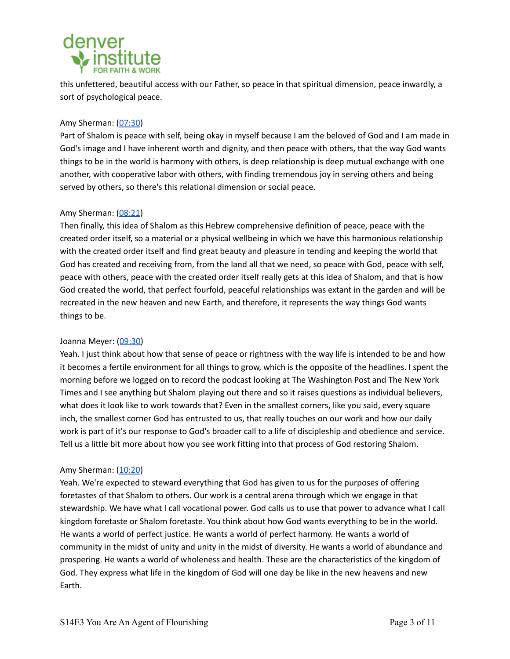# denver

this unfettered, beautiful access with our Father, so peace in that spiritual dimension, peace inwardly, a sort of psychological peace.

# Amy Sherman: [\(07:30](https://www.rev.com/transcript-editor/Edit?token=GIjTQ1HbKSrwuprYah7iErOkzLFCKBg7OgAzk3EUX_rO8UWJ3lkxeG_2W23txindY6v0vAL8tQJw9RfcVUfNlFfSjek&loadFrom=PastedDeeplink&ts=450.98))

Part of Shalom is peace with self, being okay in myself because I am the beloved of God and I am made in God's image and I have inherent worth and dignity, and then peace with others, that the way God wants things to be in the world is harmony with others, is deep relationship is deep mutual exchange with one another, with cooperative labor with others, with finding tremendous joy in serving others and being served by others, so there's this relational dimension or social peace.

# Amy Sherman: [\(08:21](https://www.rev.com/transcript-editor/Edit?token=GIjTQ1HbKSrwuprYah7iErOkzLFCKBg7OgAzk3EUX_rO8UWJ3lkxeG_2W23txindY6v0vAL8tQJw9RfcVUfNlFfSjek&loadFrom=PastedDeeplink&ts=501.58))

Then finally, this idea of Shalom as this Hebrew comprehensive definition of peace, peace with the created order itself, so a material or a physical wellbeing in which we have this harmonious relationship with the created order itself and find great beauty and pleasure in tending and keeping the world that God has created and receiving from, from the land all that we need, so peace with God, peace with self, peace with others, peace with the created order itself really gets at this idea of Shalom, and that is how God created the world, that perfect fourfold, peaceful relationships was extant in the garden and will be recreated in the new heaven and new Earth, and therefore, it represents the way things God wants things to be.

# Joanna Meyer: ([09:30\)](https://www.rev.com/transcript-editor/Edit?token=GIjTQ1HbKSrwuprYah7iErOkzLFCKBg7OgAzk3EUX_rO8UWJ3lkxeG_2W23txindY6v0vAL8tQJw9RfcVUfNlFfSjek&loadFrom=PastedDeeplink&ts=570.79)

Yeah. I just think about how that sense of peace or rightness with the way life is intended to be and how it becomes a fertile environment for all things to grow, which is the opposite of the headlines. I spent the morning before we logged on to record the podcast looking at The Washington Post and The New York Times and I see anything but Shalom playing out there and so it raises questions as individual believers, what does it look like to work towards that? Even in the smallest corners, like you said, every square inch, the smallest corner God has entrusted to us, that really touches on our work and how our daily work is part of it's our response to God's broader call to a life of discipleship and obedience and service. Tell us a little bit more about how you see work fitting into that process of God restoring Shalom.

# Amy Sherman: [\(10:20](https://www.rev.com/transcript-editor/Edit?token=GIjTQ1HbKSrwuprYah7iErOkzLFCKBg7OgAzk3EUX_rO8UWJ3lkxeG_2W23txindY6v0vAL8tQJw9RfcVUfNlFfSjek&loadFrom=PastedDeeplink&ts=620.48))

Yeah. We're expected to steward everything that God has given to us for the purposes of offering foretastes of that Shalom to others. Our work is a central arena through which we engage in that stewardship. We have what I call vocational power. God calls us to use that power to advance what I call kingdom foretaste or Shalom foretaste. You think about how God wants everything to be in the world. He wants a world of perfect justice. He wants a world of perfect harmony. He wants a world of community in the midst of unity and unity in the midst of diversity. He wants a world of abundance and prospering. He wants a world of wholeness and health. These are the characteristics of the kingdom of God. They express what life in the kingdom of God will one day be like in the new heavens and new Earth.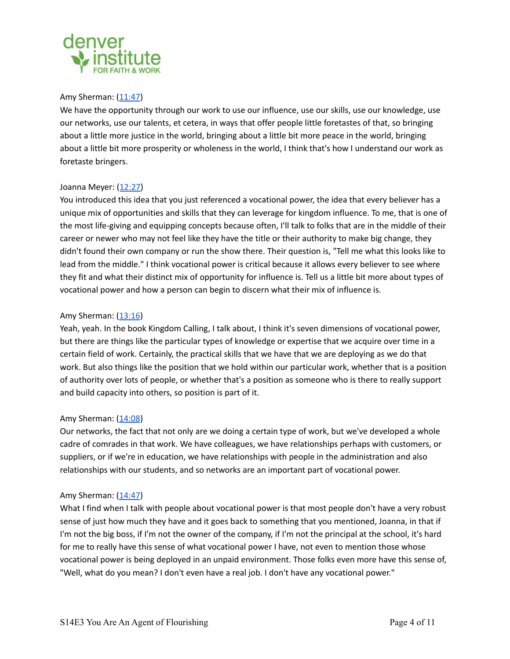

## Amy Sherman: [\(11:47](https://www.rev.com/transcript-editor/Edit?token=GIjTQ1HbKSrwuprYah7iErOkzLFCKBg7OgAzk3EUX_rO8UWJ3lkxeG_2W23txindY6v0vAL8tQJw9RfcVUfNlFfSjek&loadFrom=PastedDeeplink&ts=707.84))

We have the opportunity through our work to use our influence, use our skills, use our knowledge, use our networks, use our talents, et cetera, in ways that offer people little foretastes of that, so bringing about a little more justice in the world, bringing about a little bit more peace in the world, bringing about a little bit more prosperity or wholeness in the world, I think that's how I understand our work as foretaste bringers.

#### Joanna Meyer: ([12:27\)](https://www.rev.com/transcript-editor/Edit?token=GIjTQ1HbKSrwuprYah7iErOkzLFCKBg7OgAzk3EUX_rO8UWJ3lkxeG_2W23txindY6v0vAL8tQJw9RfcVUfNlFfSjek&loadFrom=PastedDeeplink&ts=747.4)

You introduced this idea that you just referenced a vocational power, the idea that every believer has a unique mix of opportunities and skills that they can leverage for kingdom influence. To me, that is one of the most life-giving and equipping concepts because often, I'll talk to folks that are in the middle of their career or newer who may not feel like they have the title or their authority to make big change, they didn't found their own company or run the show there. Their question is, "Tell me what this looks like to lead from the middle." I think vocational power is critical because it allows every believer to see where they fit and what their distinct mix of opportunity for influence is. Tell us a little bit more about types of vocational power and how a person can begin to discern what their mix of influence is.

## Amy Sherman: [\(13:16](https://www.rev.com/transcript-editor/Edit?token=GIjTQ1HbKSrwuprYah7iErOkzLFCKBg7OgAzk3EUX_rO8UWJ3lkxeG_2W23txindY6v0vAL8tQJw9RfcVUfNlFfSjek&loadFrom=PastedDeeplink&ts=796.33))

Yeah, yeah. In the book Kingdom Calling, I talk about, I think it's seven dimensions of vocational power, but there are things like the particular types of knowledge or expertise that we acquire over time in a certain field of work. Certainly, the practical skills that we have that we are deploying as we do that work. But also things like the position that we hold within our particular work, whether that is a position of authority over lots of people, or whether that's a position as someone who is there to really support and build capacity into others, so position is part of it.

# Amy Sherman: [\(14:08](https://www.rev.com/transcript-editor/Edit?token=GIjTQ1HbKSrwuprYah7iErOkzLFCKBg7OgAzk3EUX_rO8UWJ3lkxeG_2W23txindY6v0vAL8tQJw9RfcVUfNlFfSjek&loadFrom=PastedDeeplink&ts=848.08))

Our networks, the fact that not only are we doing a certain type of work, but we've developed a whole cadre of comrades in that work. We have colleagues, we have relationships perhaps with customers, or suppliers, or if we're in education, we have relationships with people in the administration and also relationships with our students, and so networks are an important part of vocational power.

#### Amy Sherman: [\(14:47](https://www.rev.com/transcript-editor/Edit?token=GIjTQ1HbKSrwuprYah7iErOkzLFCKBg7OgAzk3EUX_rO8UWJ3lkxeG_2W23txindY6v0vAL8tQJw9RfcVUfNlFfSjek&loadFrom=PastedDeeplink&ts=887.62))

What I find when I talk with people about vocational power is that most people don't have a very robust sense of just how much they have and it goes back to something that you mentioned, Joanna, in that if I'm not the big boss, if I'm not the owner of the company, if I'm not the principal at the school, it's hard for me to really have this sense of what vocational power I have, not even to mention those whose vocational power is being deployed in an unpaid environment. Those folks even more have this sense of, "Well, what do you mean? I don't even have a real job. I don't have any vocational power."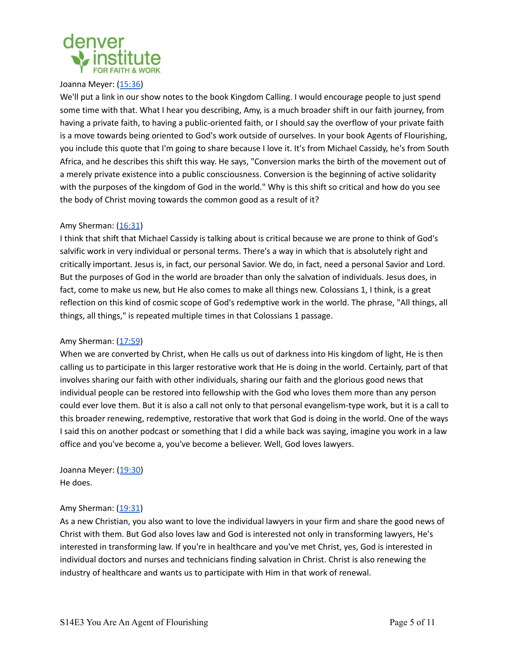

#### Joanna Meyer: ([15:36\)](https://www.rev.com/transcript-editor/Edit?token=GIjTQ1HbKSrwuprYah7iErOkzLFCKBg7OgAzk3EUX_rO8UWJ3lkxeG_2W23txindY6v0vAL8tQJw9RfcVUfNlFfSjek&loadFrom=PastedDeeplink&ts=936.69)

We'll put a link in our show notes to the book Kingdom Calling. I would encourage people to just spend some time with that. What I hear you describing, Amy, is a much broader shift in our faith journey, from having a private faith, to having a public-oriented faith, or I should say the overflow of your private faith is a move towards being oriented to God's work outside of ourselves. In your book Agents of Flourishing, you include this quote that I'm going to share because I love it. It's from Michael Cassidy, he's from South Africa, and he describes this shift this way. He says, "Conversion marks the birth of the movement out of a merely private existence into a public consciousness. Conversion is the beginning of active solidarity with the purposes of the kingdom of God in the world." Why is this shift so critical and how do you see the body of Christ moving towards the common good as a result of it?

# Amy Sherman: [\(16:31](https://www.rev.com/transcript-editor/Edit?token=GIjTQ1HbKSrwuprYah7iErOkzLFCKBg7OgAzk3EUX_rO8UWJ3lkxeG_2W23txindY6v0vAL8tQJw9RfcVUfNlFfSjek&loadFrom=PastedDeeplink&ts=991.47))

I think that shift that Michael Cassidy is talking about is critical because we are prone to think of God's salvific work in very individual or personal terms. There's a way in which that is absolutely right and critically important. Jesus is, in fact, our personal Savior. We do, in fact, need a personal Savior and Lord. But the purposes of God in the world are broader than only the salvation of individuals. Jesus does, in fact, come to make us new, but He also comes to make all things new. Colossians 1, I think, is a great reflection on this kind of cosmic scope of God's redemptive work in the world. The phrase, "All things, all things, all things," is repeated multiple times in that Colossians 1 passage.

#### Amy Sherman: [\(17:59](https://www.rev.com/transcript-editor/Edit?token=GIjTQ1HbKSrwuprYah7iErOkzLFCKBg7OgAzk3EUX_rO8UWJ3lkxeG_2W23txindY6v0vAL8tQJw9RfcVUfNlFfSjek&loadFrom=PastedDeeplink&ts=1079.72))

When we are converted by Christ, when He calls us out of darkness into His kingdom of light, He is then calling us to participate in this larger restorative work that He is doing in the world. Certainly, part of that involves sharing our faith with other individuals, sharing our faith and the glorious good news that individual people can be restored into fellowship with the God who loves them more than any person could ever love them. But it is also a call not only to that personal evangelism-type work, but it is a call to this broader renewing, redemptive, restorative that work that God is doing in the world. One of the ways I said this on another podcast or something that I did a while back was saying, imagine you work in a law office and you've become a, you've become a believer. Well, God loves lawyers.

Joanna Meyer: ([19:30\)](https://www.rev.com/transcript-editor/Edit?token=GIjTQ1HbKSrwuprYah7iErOkzLFCKBg7OgAzk3EUX_rO8UWJ3lkxeG_2W23txindY6v0vAL8tQJw9RfcVUfNlFfSjek&loadFrom=PastedDeeplink&ts=1170.31) He does.

# Amy Sherman: [\(19:31](https://www.rev.com/transcript-editor/Edit?token=GIjTQ1HbKSrwuprYah7iErOkzLFCKBg7OgAzk3EUX_rO8UWJ3lkxeG_2W23txindY6v0vAL8tQJw9RfcVUfNlFfSjek&loadFrom=PastedDeeplink&ts=1171.95))

As a new Christian, you also want to love the individual lawyers in your firm and share the good news of Christ with them. But God also loves law and God is interested not only in transforming lawyers, He's interested in transforming law. If you're in healthcare and you've met Christ, yes, God is interested in individual doctors and nurses and technicians finding salvation in Christ. Christ is also renewing the industry of healthcare and wants us to participate with Him in that work of renewal.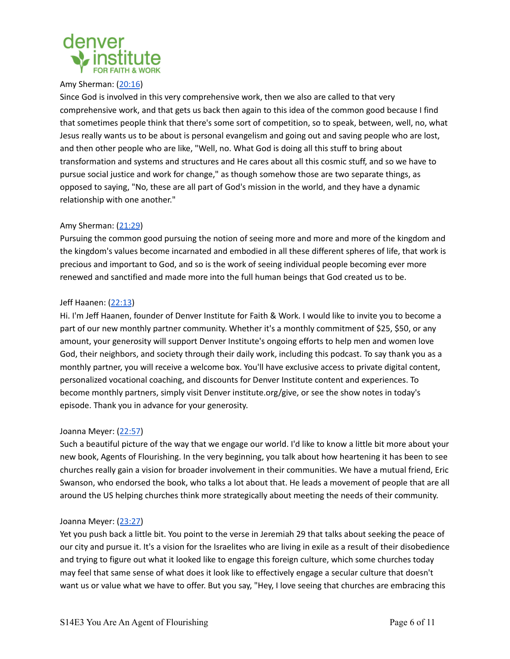

#### Amy Sherman: [\(20:16](https://www.rev.com/transcript-editor/Edit?token=GIjTQ1HbKSrwuprYah7iErOkzLFCKBg7OgAzk3EUX_rO8UWJ3lkxeG_2W23txindY6v0vAL8tQJw9RfcVUfNlFfSjek&loadFrom=PastedDeeplink&ts=1216.73))

Since God is involved in this very comprehensive work, then we also are called to that very comprehensive work, and that gets us back then again to this idea of the common good because I find that sometimes people think that there's some sort of competition, so to speak, between, well, no, what Jesus really wants us to be about is personal evangelism and going out and saving people who are lost, and then other people who are like, "Well, no. What God is doing all this stuff to bring about transformation and systems and structures and He cares about all this cosmic stuff, and so we have to pursue social justice and work for change," as though somehow those are two separate things, as opposed to saying, "No, these are all part of God's mission in the world, and they have a dynamic relationship with one another."

# Amy Sherman: [\(21:29](https://www.rev.com/transcript-editor/Edit?token=GIjTQ1HbKSrwuprYah7iErOkzLFCKBg7OgAzk3EUX_rO8UWJ3lkxeG_2W23txindY6v0vAL8tQJw9RfcVUfNlFfSjek&loadFrom=PastedDeeplink&ts=1289.63))

Pursuing the common good pursuing the notion of seeing more and more and more of the kingdom and the kingdom's values become incarnated and embodied in all these different spheres of life, that work is precious and important to God, and so is the work of seeing individual people becoming ever more renewed and sanctified and made more into the full human beings that God created us to be.

## Jeff Haanen: [\(22:13](https://www.rev.com/transcript-editor/Edit?token=GIjTQ1HbKSrwuprYah7iErOkzLFCKBg7OgAzk3EUX_rO8UWJ3lkxeG_2W23txindY6v0vAL8tQJw9RfcVUfNlFfSjek&loadFrom=PastedDeeplink&ts=1333.48))

Hi. I'm Jeff Haanen, founder of Denver Institute for Faith & Work. I would like to invite you to become a part of our new monthly partner community. Whether it's a monthly commitment of \$25, \$50, or any amount, your generosity will support Denver Institute's ongoing efforts to help men and women love God, their neighbors, and society through their daily work, including this podcast. To say thank you as a monthly partner, you will receive a welcome box. You'll have exclusive access to private digital content, personalized vocational coaching, and discounts for Denver Institute content and experiences. To become monthly partners, simply visit Denver institute.org/give, or see the show notes in today's episode. Thank you in advance for your generosity.

#### Joanna Meyer: ([22:57\)](https://www.rev.com/transcript-editor/Edit?token=GIjTQ1HbKSrwuprYah7iErOkzLFCKBg7OgAzk3EUX_rO8UWJ3lkxeG_2W23txindY6v0vAL8tQJw9RfcVUfNlFfSjek&loadFrom=PastedDeeplink&ts=1377.51)

Such a beautiful picture of the way that we engage our world. I'd like to know a little bit more about your new book, Agents of Flourishing. In the very beginning, you talk about how heartening it has been to see churches really gain a vision for broader involvement in their communities. We have a mutual friend, Eric Swanson, who endorsed the book, who talks a lot about that. He leads a movement of people that are all around the US helping churches think more strategically about meeting the needs of their community.

#### Joanna Meyer: ([23:27\)](https://www.rev.com/transcript-editor/Edit?token=GIjTQ1HbKSrwuprYah7iErOkzLFCKBg7OgAzk3EUX_rO8UWJ3lkxeG_2W23txindY6v0vAL8tQJw9RfcVUfNlFfSjek&loadFrom=PastedDeeplink&ts=1407.2)

Yet you push back a little bit. You point to the verse in Jeremiah 29 that talks about seeking the peace of our city and pursue it. It's a vision for the Israelites who are living in exile as a result of their disobedience and trying to figure out what it looked like to engage this foreign culture, which some churches today may feel that same sense of what does it look like to effectively engage a secular culture that doesn't want us or value what we have to offer. But you say, "Hey, I love seeing that churches are embracing this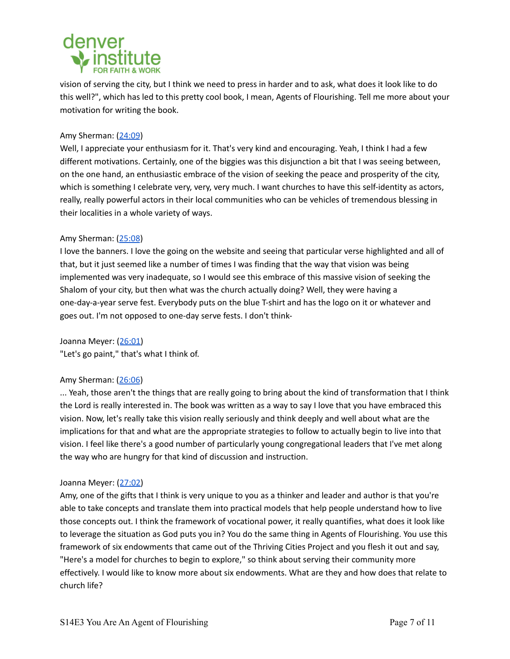

vision of serving the city, but I think we need to press in harder and to ask, what does it look like to do this well?", which has led to this pretty cool book, I mean, Agents of Flourishing. Tell me more about your motivation for writing the book.

## Amy Sherman: [\(24:09](https://www.rev.com/transcript-editor/Edit?token=GIjTQ1HbKSrwuprYah7iErOkzLFCKBg7OgAzk3EUX_rO8UWJ3lkxeG_2W23txindY6v0vAL8tQJw9RfcVUfNlFfSjek&loadFrom=PastedDeeplink&ts=1449.16))

Well, I appreciate your enthusiasm for it. That's very kind and encouraging. Yeah, I think I had a few different motivations. Certainly, one of the biggies was this disjunction a bit that I was seeing between, on the one hand, an enthusiastic embrace of the vision of seeking the peace and prosperity of the city, which is something I celebrate very, very, very much. I want churches to have this self-identity as actors, really, really powerful actors in their local communities who can be vehicles of tremendous blessing in their localities in a whole variety of ways.

## Amy Sherman: [\(25:08](https://www.rev.com/transcript-editor/Edit?token=GIjTQ1HbKSrwuprYah7iErOkzLFCKBg7OgAzk3EUX_rO8UWJ3lkxeG_2W23txindY6v0vAL8tQJw9RfcVUfNlFfSjek&loadFrom=PastedDeeplink&ts=1508.7))

I love the banners. I love the going on the website and seeing that particular verse highlighted and all of that, but it just seemed like a number of times I was finding that the way that vision was being implemented was very inadequate, so I would see this embrace of this massive vision of seeking the Shalom of your city, but then what was the church actually doing? Well, they were having a one-day-a-year serve fest. Everybody puts on the blue T-shirt and has the logo on it or whatever and goes out. I'm not opposed to one-day serve fests. I don't think-

Joanna Meyer: ([26:01\)](https://www.rev.com/transcript-editor/Edit?token=GIjTQ1HbKSrwuprYah7iErOkzLFCKBg7OgAzk3EUX_rO8UWJ3lkxeG_2W23txindY6v0vAL8tQJw9RfcVUfNlFfSjek&loadFrom=PastedDeeplink&ts=1561.45) "Let's go paint," that's what I think of.

#### Amy Sherman: [\(26:06](https://www.rev.com/transcript-editor/Edit?token=GIjTQ1HbKSrwuprYah7iErOkzLFCKBg7OgAzk3EUX_rO8UWJ3lkxeG_2W23txindY6v0vAL8tQJw9RfcVUfNlFfSjek&loadFrom=PastedDeeplink&ts=1566.91))

... Yeah, those aren't the things that are really going to bring about the kind of transformation that I think the Lord is really interested in. The book was written as a way to say I love that you have embraced this vision. Now, let's really take this vision really seriously and think deeply and well about what are the implications for that and what are the appropriate strategies to follow to actually begin to live into that vision. I feel like there's a good number of particularly young congregational leaders that I've met along the way who are hungry for that kind of discussion and instruction.

#### Joanna Meyer: ([27:02\)](https://www.rev.com/transcript-editor/Edit?token=GIjTQ1HbKSrwuprYah7iErOkzLFCKBg7OgAzk3EUX_rO8UWJ3lkxeG_2W23txindY6v0vAL8tQJw9RfcVUfNlFfSjek&loadFrom=PastedDeeplink&ts=1622.13)

Amy, one of the gifts that I think is very unique to you as a thinker and leader and author is that you're able to take concepts and translate them into practical models that help people understand how to live those concepts out. I think the framework of vocational power, it really quantifies, what does it look like to leverage the situation as God puts you in? You do the same thing in Agents of Flourishing. You use this framework of six endowments that came out of the Thriving Cities Project and you flesh it out and say, "Here's a model for churches to begin to explore," so think about serving their community more effectively. I would like to know more about six endowments. What are they and how does that relate to church life?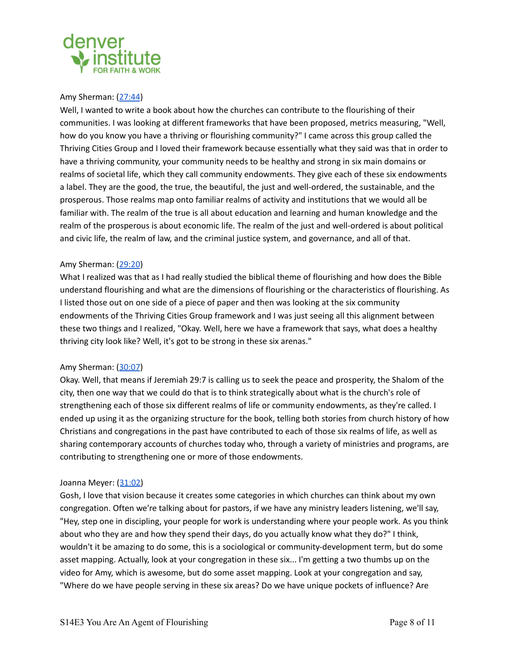

#### Amy Sherman: [\(27:44](https://www.rev.com/transcript-editor/Edit?token=GIjTQ1HbKSrwuprYah7iErOkzLFCKBg7OgAzk3EUX_rO8UWJ3lkxeG_2W23txindY6v0vAL8tQJw9RfcVUfNlFfSjek&loadFrom=PastedDeeplink&ts=1664.77))

Well, I wanted to write a book about how the churches can contribute to the flourishing of their communities. I was looking at different frameworks that have been proposed, metrics measuring, "Well, how do you know you have a thriving or flourishing community?" I came across this group called the Thriving Cities Group and I loved their framework because essentially what they said was that in order to have a thriving community, your community needs to be healthy and strong in six main domains or realms of societal life, which they call community endowments. They give each of these six endowments a label. They are the good, the true, the beautiful, the just and well-ordered, the sustainable, and the prosperous. Those realms map onto familiar realms of activity and institutions that we would all be familiar with. The realm of the true is all about education and learning and human knowledge and the realm of the prosperous is about economic life. The realm of the just and well-ordered is about political and civic life, the realm of law, and the criminal justice system, and governance, and all of that.

#### Amy Sherman: [\(29:20](https://www.rev.com/transcript-editor/Edit?token=GIjTQ1HbKSrwuprYah7iErOkzLFCKBg7OgAzk3EUX_rO8UWJ3lkxeG_2W23txindY6v0vAL8tQJw9RfcVUfNlFfSjek&loadFrom=PastedDeeplink&ts=1760.7))

What I realized was that as I had really studied the biblical theme of flourishing and how does the Bible understand flourishing and what are the dimensions of flourishing or the characteristics of flourishing. As I listed those out on one side of a piece of paper and then was looking at the six community endowments of the Thriving Cities Group framework and I was just seeing all this alignment between these two things and I realized, "Okay. Well, here we have a framework that says, what does a healthy thriving city look like? Well, it's got to be strong in these six arenas."

#### Amy Sherman: [\(30:07](https://www.rev.com/transcript-editor/Edit?token=GIjTQ1HbKSrwuprYah7iErOkzLFCKBg7OgAzk3EUX_rO8UWJ3lkxeG_2W23txindY6v0vAL8tQJw9RfcVUfNlFfSjek&loadFrom=PastedDeeplink&ts=1807.59))

Okay. Well, that means if Jeremiah 29:7 is calling us to seek the peace and prosperity, the Shalom of the city, then one way that we could do that is to think strategically about what is the church's role of strengthening each of those six different realms of life or community endowments, as they're called. I ended up using it as the organizing structure for the book, telling both stories from church history of how Christians and congregations in the past have contributed to each of those six realms of life, as well as sharing contemporary accounts of churches today who, through a variety of ministries and programs, are contributing to strengthening one or more of those endowments.

#### Joanna Meyer: ([31:02\)](https://www.rev.com/transcript-editor/Edit?token=GIjTQ1HbKSrwuprYah7iErOkzLFCKBg7OgAzk3EUX_rO8UWJ3lkxeG_2W23txindY6v0vAL8tQJw9RfcVUfNlFfSjek&loadFrom=PastedDeeplink&ts=1862.51)

Gosh, I love that vision because it creates some categories in which churches can think about my own congregation. Often we're talking about for pastors, if we have any ministry leaders listening, we'll say, "Hey, step one in discipling, your people for work is understanding where your people work. As you think about who they are and how they spend their days, do you actually know what they do?" I think, wouldn't it be amazing to do some, this is a sociological or community-development term, but do some asset mapping. Actually, look at your congregation in these six... I'm getting a two thumbs up on the video for Amy, which is awesome, but do some asset mapping. Look at your congregation and say, "Where do we have people serving in these six areas? Do we have unique pockets of influence? Are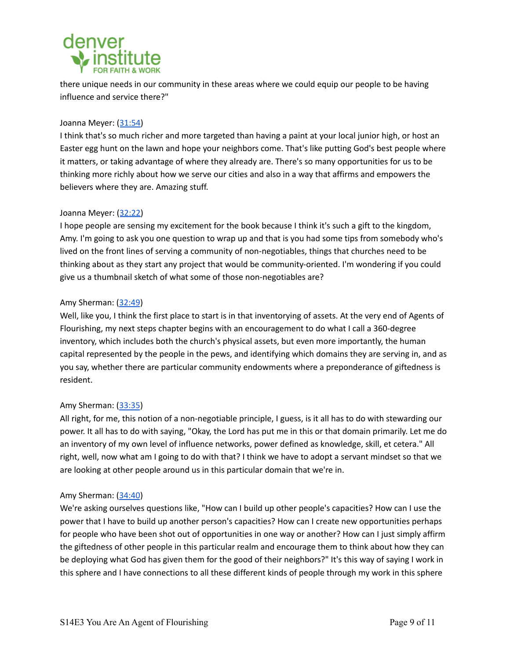

there unique needs in our community in these areas where we could equip our people to be having influence and service there?"

# Joanna Meyer: ([31:54\)](https://www.rev.com/transcript-editor/Edit?token=GIjTQ1HbKSrwuprYah7iErOkzLFCKBg7OgAzk3EUX_rO8UWJ3lkxeG_2W23txindY6v0vAL8tQJw9RfcVUfNlFfSjek&loadFrom=PastedDeeplink&ts=1914.79)

I think that's so much richer and more targeted than having a paint at your local junior high, or host an Easter egg hunt on the lawn and hope your neighbors come. That's like putting God's best people where it matters, or taking advantage of where they already are. There's so many opportunities for us to be thinking more richly about how we serve our cities and also in a way that affirms and empowers the believers where they are. Amazing stuff.

## Joanna Meyer: ([32:22\)](https://www.rev.com/transcript-editor/Edit?token=GIjTQ1HbKSrwuprYah7iErOkzLFCKBg7OgAzk3EUX_rO8UWJ3lkxeG_2W23txindY6v0vAL8tQJw9RfcVUfNlFfSjek&loadFrom=PastedDeeplink&ts=1942.46)

I hope people are sensing my excitement for the book because I think it's such a gift to the kingdom, Amy. I'm going to ask you one question to wrap up and that is you had some tips from somebody who's lived on the front lines of serving a community of non-negotiables, things that churches need to be thinking about as they start any project that would be community-oriented. I'm wondering if you could give us a thumbnail sketch of what some of those non-negotiables are?

## Amy Sherman: [\(32:49](https://www.rev.com/transcript-editor/Edit?token=GIjTQ1HbKSrwuprYah7iErOkzLFCKBg7OgAzk3EUX_rO8UWJ3lkxeG_2W23txindY6v0vAL8tQJw9RfcVUfNlFfSjek&loadFrom=PastedDeeplink&ts=1969.4))

Well, like you, I think the first place to start is in that inventorying of assets. At the very end of Agents of Flourishing, my next steps chapter begins with an encouragement to do what I call a 360-degree inventory, which includes both the church's physical assets, but even more importantly, the human capital represented by the people in the pews, and identifying which domains they are serving in, and as you say, whether there are particular community endowments where a preponderance of giftedness is resident.

#### Amy Sherman: [\(33:35](https://www.rev.com/transcript-editor/Edit?token=GIjTQ1HbKSrwuprYah7iErOkzLFCKBg7OgAzk3EUX_rO8UWJ3lkxeG_2W23txindY6v0vAL8tQJw9RfcVUfNlFfSjek&loadFrom=PastedDeeplink&ts=2015.78))

All right, for me, this notion of a non-negotiable principle, I guess, is it all has to do with stewarding our power. It all has to do with saying, "Okay, the Lord has put me in this or that domain primarily. Let me do an inventory of my own level of influence networks, power defined as knowledge, skill, et cetera." All right, well, now what am I going to do with that? I think we have to adopt a servant mindset so that we are looking at other people around us in this particular domain that we're in.

#### Amy Sherman: [\(34:40](https://www.rev.com/transcript-editor/Edit?token=GIjTQ1HbKSrwuprYah7iErOkzLFCKBg7OgAzk3EUX_rO8UWJ3lkxeG_2W23txindY6v0vAL8tQJw9RfcVUfNlFfSjek&loadFrom=PastedDeeplink&ts=2080.45))

We're asking ourselves questions like, "How can I build up other people's capacities? How can I use the power that I have to build up another person's capacities? How can I create new opportunities perhaps for people who have been shot out of opportunities in one way or another? How can I just simply affirm the giftedness of other people in this particular realm and encourage them to think about how they can be deploying what God has given them for the good of their neighbors?" It's this way of saying I work in this sphere and I have connections to all these different kinds of people through my work in this sphere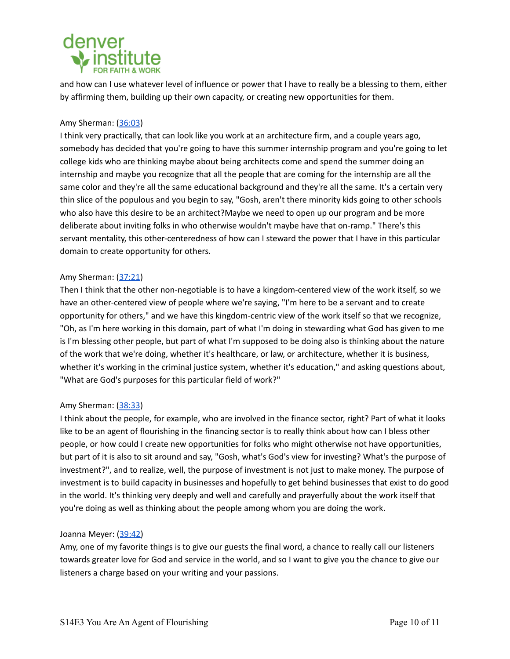# denver

and how can I use whatever level of influence or power that I have to really be a blessing to them, either by affirming them, building up their own capacity, or creating new opportunities for them.

# Amy Sherman: [\(36:03](https://www.rev.com/transcript-editor/Edit?token=GIjTQ1HbKSrwuprYah7iErOkzLFCKBg7OgAzk3EUX_rO8UWJ3lkxeG_2W23txindY6v0vAL8tQJw9RfcVUfNlFfSjek&loadFrom=PastedDeeplink&ts=2163.14))

I think very practically, that can look like you work at an architecture firm, and a couple years ago, somebody has decided that you're going to have this summer internship program and you're going to let college kids who are thinking maybe about being architects come and spend the summer doing an internship and maybe you recognize that all the people that are coming for the internship are all the same color and they're all the same educational background and they're all the same. It's a certain very thin slice of the populous and you begin to say, "Gosh, aren't there minority kids going to other schools who also have this desire to be an architect?Maybe we need to open up our program and be more deliberate about inviting folks in who otherwise wouldn't maybe have that on-ramp." There's this servant mentality, this other-centeredness of how can I steward the power that I have in this particular domain to create opportunity for others.

# Amy Sherman: [\(37:21](https://www.rev.com/transcript-editor/Edit?token=GIjTQ1HbKSrwuprYah7iErOkzLFCKBg7OgAzk3EUX_rO8UWJ3lkxeG_2W23txindY6v0vAL8tQJw9RfcVUfNlFfSjek&loadFrom=PastedDeeplink&ts=2241.62))

Then I think that the other non-negotiable is to have a kingdom-centered view of the work itself, so we have an other-centered view of people where we're saying, "I'm here to be a servant and to create opportunity for others," and we have this kingdom-centric view of the work itself so that we recognize, "Oh, as I'm here working in this domain, part of what I'm doing in stewarding what God has given to me is I'm blessing other people, but part of what I'm supposed to be doing also is thinking about the nature of the work that we're doing, whether it's healthcare, or law, or architecture, whether it is business, whether it's working in the criminal justice system, whether it's education," and asking questions about, "What are God's purposes for this particular field of work?"

# Amy Sherman: [\(38:33](https://www.rev.com/transcript-editor/Edit?token=GIjTQ1HbKSrwuprYah7iErOkzLFCKBg7OgAzk3EUX_rO8UWJ3lkxeG_2W23txindY6v0vAL8tQJw9RfcVUfNlFfSjek&loadFrom=PastedDeeplink&ts=2313.06))

I think about the people, for example, who are involved in the finance sector, right? Part of what it looks like to be an agent of flourishing in the financing sector is to really think about how can I bless other people, or how could I create new opportunities for folks who might otherwise not have opportunities, but part of it is also to sit around and say, "Gosh, what's God's view for investing? What's the purpose of investment?", and to realize, well, the purpose of investment is not just to make money. The purpose of investment is to build capacity in businesses and hopefully to get behind businesses that exist to do good in the world. It's thinking very deeply and well and carefully and prayerfully about the work itself that you're doing as well as thinking about the people among whom you are doing the work.

# Joanna Meyer: ([39:42\)](https://www.rev.com/transcript-editor/Edit?token=GIjTQ1HbKSrwuprYah7iErOkzLFCKBg7OgAzk3EUX_rO8UWJ3lkxeG_2W23txindY6v0vAL8tQJw9RfcVUfNlFfSjek&loadFrom=PastedDeeplink&ts=2382.33)

Amy, one of my favorite things is to give our guests the final word, a chance to really call our listeners towards greater love for God and service in the world, and so I want to give you the chance to give our listeners a charge based on your writing and your passions.